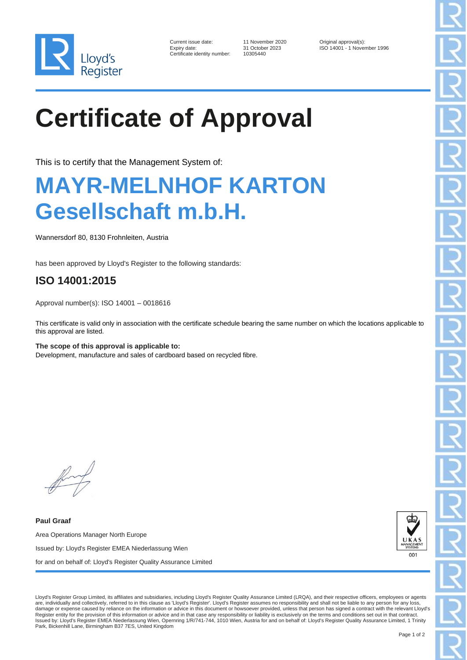

| Current issue date:        |
|----------------------------|
| Expiry date:               |
| Certificate identity numbe |

11 November 2020 Original approval(s):<br>31 October 2023 ISO 14001 - 1 November 2023 er: 10305440

ISO 14001 - 1 November 1996

# **Certificate of Approval**

This is to certify that the Management System of:

### **MAYR-MELNHOF KARTON Gesellschaft m.b.H.**

Wannersdorf 80, 8130 Frohnleiten, Austria

has been approved by Lloyd's Register to the following standards:

### **ISO 14001:2015**

Approval number(s): ISO 14001 – 0018616

This certificate is valid only in association with the certificate schedule bearing the same number on which the locations applicable to this approval are listed.

**The scope of this approval is applicable to:** Development, manufacture and sales of cardboard based on recycled fibre.

**Paul Graaf** Area Operations Manager North Europe Issued by: Lloyd's Register EMEA Niederlassung Wien for and on behalf of: Lloyd's Register Quality Assurance Limited



Lloyd's Register Group Limited, its affiliates and subsidiaries, including Lloyd's Register Quality Assurance Limited (LRQA), and their respective officers, employees or agents are, individually and collectively, referred to in this clause as 'Lloyd's Register'. Lloyd's Register assumes no responsibility and shall not be liable to any person for any loss, damage or expense caused by reliance on the information or advice in this document or howsoever provided, unless that person has signed a contract with the relevant Lloyd's Register entity for the provision of this information or advice and in that case any responsibility or liability is exclusively on the terms and conditions set out in that contract.<br>Issued by: Lloyd's Register EMEA Niederl Park, Bickenhill Lane, Birmingham B37 7ES, United Kingdom